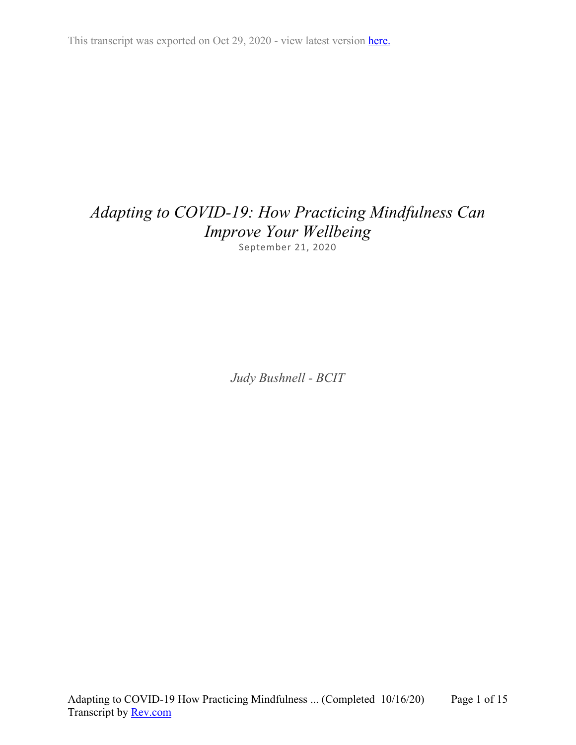This transcript was exported on Oct 29, 2020 - view latest version [here.](https://www.rev.com/transcript-editor/Edit?token=WlYR9MkrZhXffP4v8OhUmPDFRGxdkv_RjfYjuH8VIKInWFXM97v7s0pwDNuwTl6iub-QercJGZ-i5ZGyNVaTLlPkw6g&loadFrom=DocumentHeaderDeepLink)

# *Adapting to COVID-19: How Practicing Mindfulness Can Improve Your Wellbeing* September 21, 2020

*Judy Bushnell - BCIT*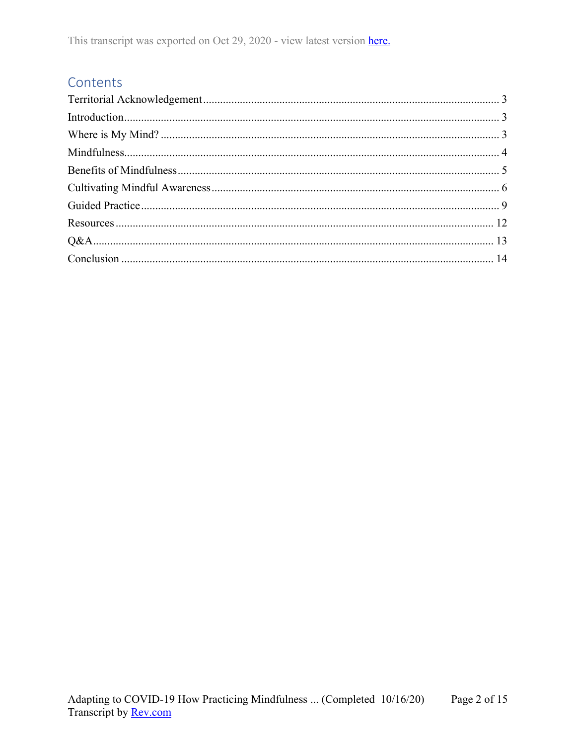## Contents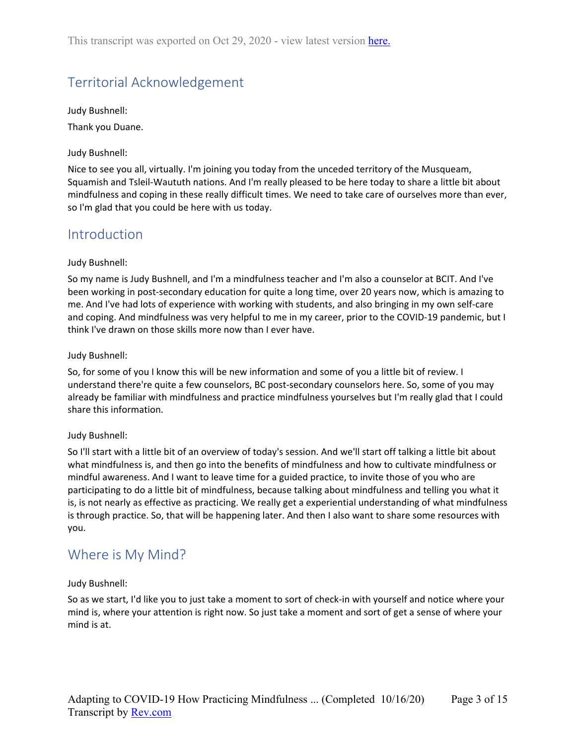# <span id="page-2-0"></span>Territorial Acknowledgement

Judy Bushnell: Thank you Duane.

## Judy Bushnell:

Nice to see you all, virtually. I'm joining you today from the unceded territory of the Musqueam, Squamish and Tsleil-Waututh nations. And I'm really pleased to be here today to share a little bit about mindfulness and coping in these really difficult times. We need to take care of ourselves more than ever, so I'm glad that you could be here with us today.

## <span id="page-2-1"></span>Introduction

## Judy Bushnell:

So my name is Judy Bushnell, and I'm a mindfulness teacher and I'm also a counselor at BCIT. And I've been working in post-secondary education for quite a long time, over 20 years now, which is amazing to me. And I've had lots of experience with working with students, and also bringing in my own self-care and coping. And mindfulness was very helpful to me in my career, prior to the COVID-19 pandemic, but I think I've drawn on those skills more now than I ever have.

## Judy Bushnell:

So, for some of you I know this will be new information and some of you a little bit of review. I understand there're quite a few counselors, BC post-secondary counselors here. So, some of you may already be familiar with mindfulness and practice mindfulness yourselves but I'm really glad that I could share this information.

## Judy Bushnell:

So I'll start with a little bit of an overview of today's session. And we'll start off talking a little bit about what mindfulness is, and then go into the benefits of mindfulness and how to cultivate mindfulness or mindful awareness. And I want to leave time for a guided practice, to invite those of you who are participating to do a little bit of mindfulness, because talking about mindfulness and telling you what it is, is not nearly as effective as practicing. We really get a experiential understanding of what mindfulness is through practice. So, that will be happening later. And then I also want to share some resources with you.

## <span id="page-2-2"></span>Where is My Mind?

## Judy Bushnell:

So as we start, I'd like you to just take a moment to sort of check-in with yourself and notice where your mind is, where your attention is right now. So just take a moment and sort of get a sense of where your mind is at.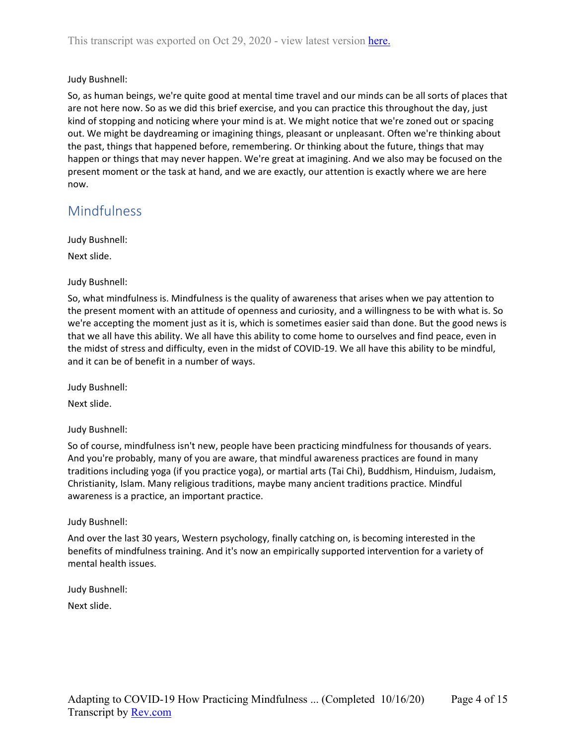So, as human beings, we're quite good at mental time travel and our minds can be all sorts of places that are not here now. So as we did this brief exercise, and you can practice this throughout the day, just kind of stopping and noticing where your mind is at. We might notice that we're zoned out or spacing out. We might be daydreaming or imagining things, pleasant or unpleasant. Often we're thinking about the past, things that happened before, remembering. Or thinking about the future, things that may happen or things that may never happen. We're great at imagining. And we also may be focused on the present moment or the task at hand, and we are exactly, our attention is exactly where we are here now.

## <span id="page-3-0"></span>Mindfulness

Judy Bushnell:

Next slide.

## Judy Bushnell:

So, what mindfulness is. Mindfulness is the quality of awareness that arises when we pay attention to the present moment with an attitude of openness and curiosity, and a willingness to be with what is. So we're accepting the moment just as it is, which is sometimes easier said than done. But the good news is that we all have this ability. We all have this ability to come home to ourselves and find peace, even in the midst of stress and difficulty, even in the midst of COVID-19. We all have this ability to be mindful, and it can be of benefit in a number of ways.

Judy Bushnell:

Next slide.

### Judy Bushnell:

So of course, mindfulness isn't new, people have been practicing mindfulness for thousands of years. And you're probably, many of you are aware, that mindful awareness practices are found in many traditions including yoga (if you practice yoga), or martial arts (Tai Chi), Buddhism, Hinduism, Judaism, Christianity, Islam. Many religious traditions, maybe many ancient traditions practice. Mindful awareness is a practice, an important practice.

### Judy Bushnell:

And over the last 30 years, Western psychology, finally catching on, is becoming interested in the benefits of mindfulness training. And it's now an empirically supported intervention for a variety of mental health issues.

## Judy Bushnell:

Next slide.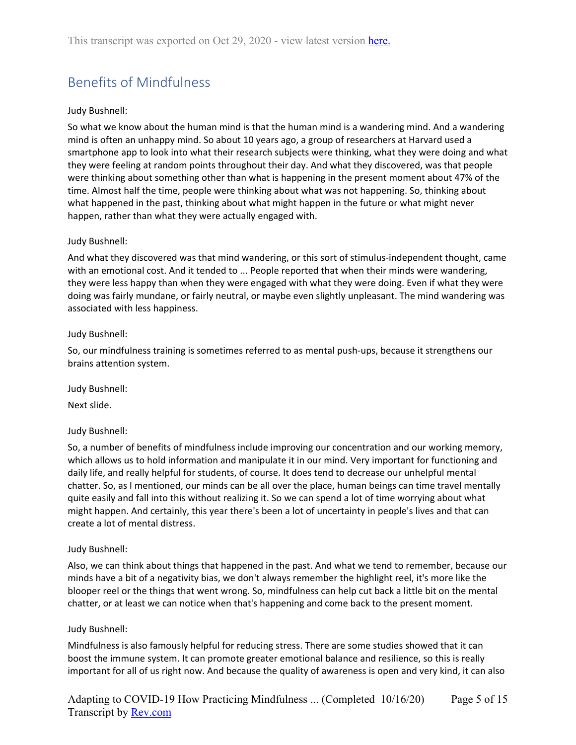# <span id="page-4-0"></span>Benefits of Mindfulness

## Judy Bushnell:

So what we know about the human mind is that the human mind is a wandering mind. And a wandering mind is often an unhappy mind. So about 10 years ago, a group of researchers at Harvard used a smartphone app to look into what their research subjects were thinking, what they were doing and what they were feeling at random points throughout their day. And what they discovered, was that people were thinking about something other than what is happening in the present moment about 47% of the time. Almost half the time, people were thinking about what was not happening. So, thinking about what happened in the past, thinking about what might happen in the future or what might never happen, rather than what they were actually engaged with.

### Judy Bushnell:

And what they discovered was that mind wandering, or this sort of stimulus-independent thought, came with an emotional cost. And it tended to ... People reported that when their minds were wandering, they were less happy than when they were engaged with what they were doing. Even if what they were doing was fairly mundane, or fairly neutral, or maybe even slightly unpleasant. The mind wandering was associated with less happiness.

### Judy Bushnell:

So, our mindfulness training is sometimes referred to as mental push-ups, because it strengthens our brains attention system.

Judy Bushnell:

Next slide.

### Judy Bushnell:

So, a number of benefits of mindfulness include improving our concentration and our working memory, which allows us to hold information and manipulate it in our mind. Very important for functioning and daily life, and really helpful for students, of course. It does tend to decrease our unhelpful mental chatter. So, as I mentioned, our minds can be all over the place, human beings can time travel mentally quite easily and fall into this without realizing it. So we can spend a lot of time worrying about what might happen. And certainly, this year there's been a lot of uncertainty in people's lives and that can create a lot of mental distress.

### Judy Bushnell:

Also, we can think about things that happened in the past. And what we tend to remember, because our minds have a bit of a negativity bias, we don't always remember the highlight reel, it's more like the blooper reel or the things that went wrong. So, mindfulness can help cut back a little bit on the mental chatter, or at least we can notice when that's happening and come back to the present moment.

### Judy Bushnell:

Mindfulness is also famously helpful for reducing stress. There are some studies showed that it can boost the immune system. It can promote greater emotional balance and resilience, so this is really important for all of us right now. And because the quality of awareness is open and very kind, it can also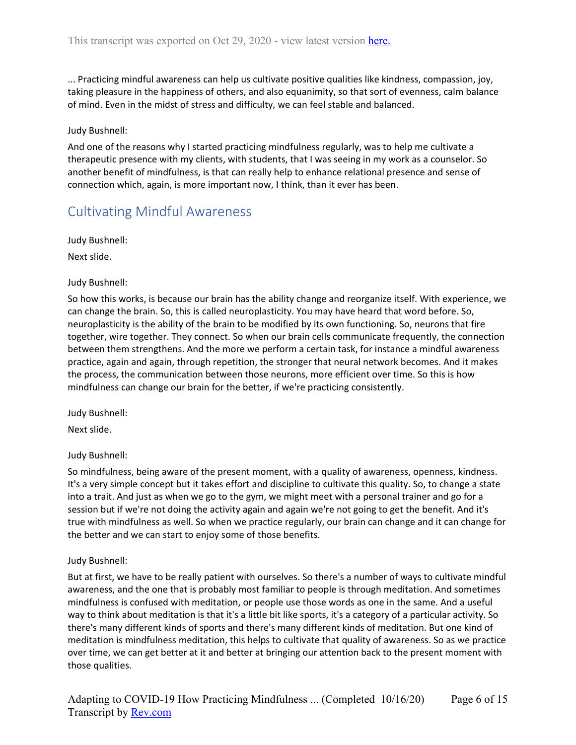... Practicing mindful awareness can help us cultivate positive qualities like kindness, compassion, joy, taking pleasure in the happiness of others, and also equanimity, so that sort of evenness, calm balance of mind. Even in the midst of stress and difficulty, we can feel stable and balanced.

### Judy Bushnell:

And one of the reasons why I started practicing mindfulness regularly, was to help me cultivate a therapeutic presence with my clients, with students, that I was seeing in my work as a counselor. So another benefit of mindfulness, is that can really help to enhance relational presence and sense of connection which, again, is more important now, I think, than it ever has been.

## <span id="page-5-0"></span>Cultivating Mindful Awareness

Judy Bushnell:

Next slide.

## Judy Bushnell:

So how this works, is because our brain has the ability change and reorganize itself. With experience, we can change the brain. So, this is called neuroplasticity. You may have heard that word before. So, neuroplasticity is the ability of the brain to be modified by its own functioning. So, neurons that fire together, wire together. They connect. So when our brain cells communicate frequently, the connection between them strengthens. And the more we perform a certain task, for instance a mindful awareness practice, again and again, through repetition, the stronger that neural network becomes. And it makes the process, the communication between those neurons, more efficient over time. So this is how mindfulness can change our brain for the better, if we're practicing consistently.

Judy Bushnell:

Next slide.

## Judy Bushnell:

So mindfulness, being aware of the present moment, with a quality of awareness, openness, kindness. It's a very simple concept but it takes effort and discipline to cultivate this quality. So, to change a state into a trait. And just as when we go to the gym, we might meet with a personal trainer and go for a session but if we're not doing the activity again and again we're not going to get the benefit. And it's true with mindfulness as well. So when we practice regularly, our brain can change and it can change for the better and we can start to enjoy some of those benefits.

### Judy Bushnell:

But at first, we have to be really patient with ourselves. So there's a number of ways to cultivate mindful awareness, and the one that is probably most familiar to people is through meditation. And sometimes mindfulness is confused with meditation, or people use those words as one in the same. And a useful way to think about meditation is that it's a little bit like sports, it's a category of a particular activity. So there's many different kinds of sports and there's many different kinds of meditation. But one kind of meditation is mindfulness meditation, this helps to cultivate that quality of awareness. So as we practice over time, we can get better at it and better at bringing our attention back to the present moment with those qualities.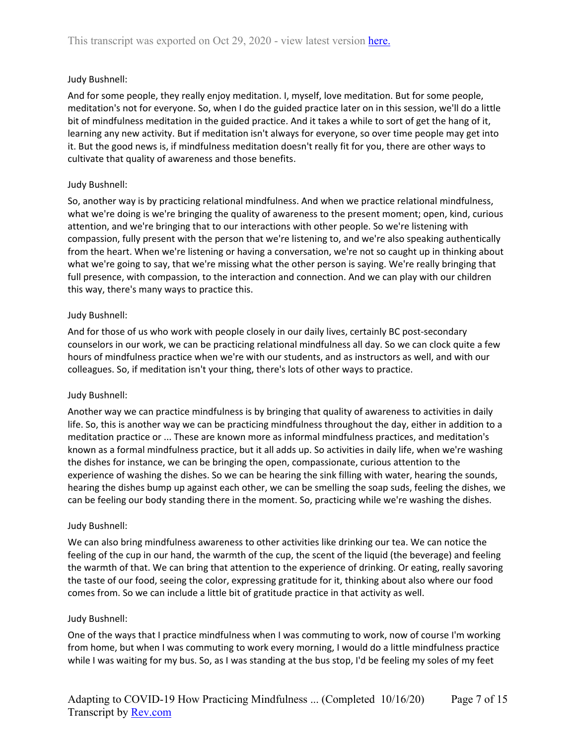And for some people, they really enjoy meditation. I, myself, love meditation. But for some people, meditation's not for everyone. So, when I do the guided practice later on in this session, we'll do a little bit of mindfulness meditation in the guided practice. And it takes a while to sort of get the hang of it, learning any new activity. But if meditation isn't always for everyone, so over time people may get into it. But the good news is, if mindfulness meditation doesn't really fit for you, there are other ways to cultivate that quality of awareness and those benefits.

### Judy Bushnell:

So, another way is by practicing relational mindfulness. And when we practice relational mindfulness, what we're doing is we're bringing the quality of awareness to the present moment; open, kind, curious attention, and we're bringing that to our interactions with other people. So we're listening with compassion, fully present with the person that we're listening to, and we're also speaking authentically from the heart. When we're listening or having a conversation, we're not so caught up in thinking about what we're going to say, that we're missing what the other person is saying. We're really bringing that full presence, with compassion, to the interaction and connection. And we can play with our children this way, there's many ways to practice this.

## Judy Bushnell:

And for those of us who work with people closely in our daily lives, certainly BC post-secondary counselors in our work, we can be practicing relational mindfulness all day. So we can clock quite a few hours of mindfulness practice when we're with our students, and as instructors as well, and with our colleagues. So, if meditation isn't your thing, there's lots of other ways to practice.

### Judy Bushnell:

Another way we can practice mindfulness is by bringing that quality of awareness to activities in daily life. So, this is another way we can be practicing mindfulness throughout the day, either in addition to a meditation practice or ... These are known more as informal mindfulness practices, and meditation's known as a formal mindfulness practice, but it all adds up. So activities in daily life, when we're washing the dishes for instance, we can be bringing the open, compassionate, curious attention to the experience of washing the dishes. So we can be hearing the sink filling with water, hearing the sounds, hearing the dishes bump up against each other, we can be smelling the soap suds, feeling the dishes, we can be feeling our body standing there in the moment. So, practicing while we're washing the dishes.

### Judy Bushnell:

We can also bring mindfulness awareness to other activities like drinking our tea. We can notice the feeling of the cup in our hand, the warmth of the cup, the scent of the liquid (the beverage) and feeling the warmth of that. We can bring that attention to the experience of drinking. Or eating, really savoring the taste of our food, seeing the color, expressing gratitude for it, thinking about also where our food comes from. So we can include a little bit of gratitude practice in that activity as well.

### Judy Bushnell:

One of the ways that I practice mindfulness when I was commuting to work, now of course I'm working from home, but when I was commuting to work every morning, I would do a little mindfulness practice while I was waiting for my bus. So, as I was standing at the bus stop, I'd be feeling my soles of my feet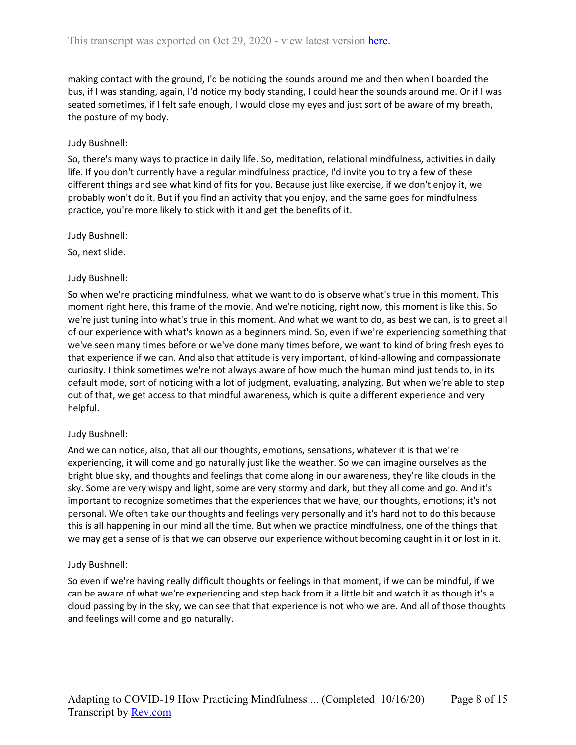making contact with the ground, I'd be noticing the sounds around me and then when I boarded the bus, if I was standing, again, I'd notice my body standing, I could hear the sounds around me. Or if I was seated sometimes, if I felt safe enough, I would close my eyes and just sort of be aware of my breath, the posture of my body.

### Judy Bushnell:

So, there's many ways to practice in daily life. So, meditation, relational mindfulness, activities in daily life. If you don't currently have a regular mindfulness practice, I'd invite you to try a few of these different things and see what kind of fits for you. Because just like exercise, if we don't enjoy it, we probably won't do it. But if you find an activity that you enjoy, and the same goes for mindfulness practice, you're more likely to stick with it and get the benefits of it.

#### Judy Bushnell:

So, next slide.

## Judy Bushnell:

So when we're practicing mindfulness, what we want to do is observe what's true in this moment. This moment right here, this frame of the movie. And we're noticing, right now, this moment is like this. So we're just tuning into what's true in this moment. And what we want to do, as best we can, is to greet all of our experience with what's known as a beginners mind. So, even if we're experiencing something that we've seen many times before or we've done many times before, we want to kind of bring fresh eyes to that experience if we can. And also that attitude is very important, of kind-allowing and compassionate curiosity. I think sometimes we're not always aware of how much the human mind just tends to, in its default mode, sort of noticing with a lot of judgment, evaluating, analyzing. But when we're able to step out of that, we get access to that mindful awareness, which is quite a different experience and very helpful.

### Judy Bushnell:

And we can notice, also, that all our thoughts, emotions, sensations, whatever it is that we're experiencing, it will come and go naturally just like the weather. So we can imagine ourselves as the bright blue sky, and thoughts and feelings that come along in our awareness, they're like clouds in the sky. Some are very wispy and light, some are very stormy and dark, but they all come and go. And it's important to recognize sometimes that the experiences that we have, our thoughts, emotions; it's not personal. We often take our thoughts and feelings very personally and it's hard not to do this because this is all happening in our mind all the time. But when we practice mindfulness, one of the things that we may get a sense of is that we can observe our experience without becoming caught in it or lost in it.

### Judy Bushnell:

So even if we're having really difficult thoughts or feelings in that moment, if we can be mindful, if we can be aware of what we're experiencing and step back from it a little bit and watch it as though it's a cloud passing by in the sky, we can see that that experience is not who we are. And all of those thoughts and feelings will come and go naturally.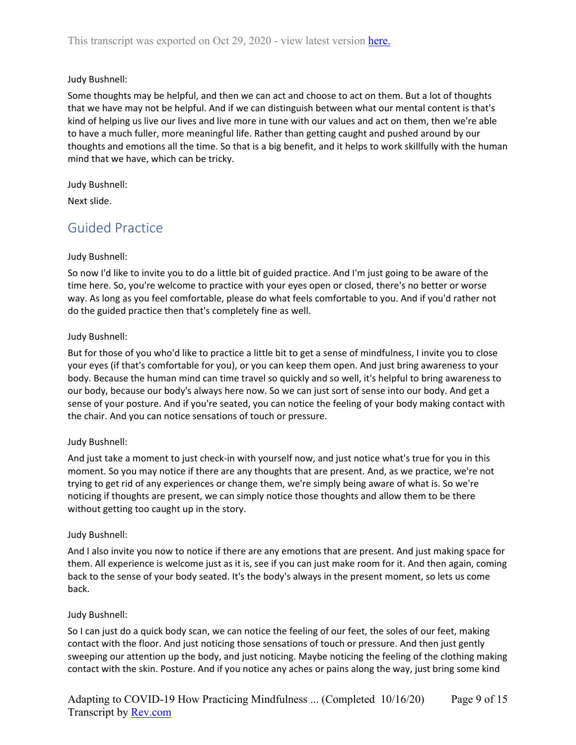Some thoughts may be helpful, and then we can act and choose to act on them. But a lot of thoughts that we have may not be helpful. And if we can distinguish between what our mental content is that's kind of helping us live our lives and live more in tune with our values and act on them, then we're able to have a much fuller, more meaningful life. Rather than getting caught and pushed around by our thoughts and emotions all the time. So that is a big benefit, and it helps to work skillfully with the human mind that we have, which can be tricky.

Judy Bushnell:

<span id="page-8-0"></span>Next slide.

## Guided Practice

## Judy Bushnell:

So now I'd like to invite you to do a little bit of guided practice. And I'm just going to be aware of the time here. So, you're welcome to practice with your eyes open or closed, there's no better or worse way. As long as you feel comfortable, please do what feels comfortable to you. And if you'd rather not do the guided practice then that's completely fine as well.

## Judy Bushnell:

But for those of you who'd like to practice a little bit to get a sense of mindfulness, I invite you to close your eyes (if that's comfortable for you), or you can keep them open. And just bring awareness to your body. Because the human mind can time travel so quickly and so well, it's helpful to bring awareness to our body, because our body's always here now. So we can just sort of sense into our body. And get a sense of your posture. And if you're seated, you can notice the feeling of your body making contact with the chair. And you can notice sensations of touch or pressure.

## Judy Bushnell:

And just take a moment to just check-in with yourself now, and just notice what's true for you in this moment. So you may notice if there are any thoughts that are present. And, as we practice, we're not trying to get rid of any experiences or change them, we're simply being aware of what is. So we're noticing if thoughts are present, we can simply notice those thoughts and allow them to be there without getting too caught up in the story.

## Judy Bushnell:

And I also invite you now to notice if there are any emotions that are present. And just making space for them. All experience is welcome just as it is, see if you can just make room for it. And then again, coming back to the sense of your body seated. It's the body's always in the present moment, so lets us come back.

## Judy Bushnell:

So I can just do a quick body scan, we can notice the feeling of our feet, the soles of our feet, making contact with the floor. And just noticing those sensations of touch or pressure. And then just gently sweeping our attention up the body, and just noticing. Maybe noticing the feeling of the clothing making contact with the skin. Posture. And if you notice any aches or pains along the way, just bring some kind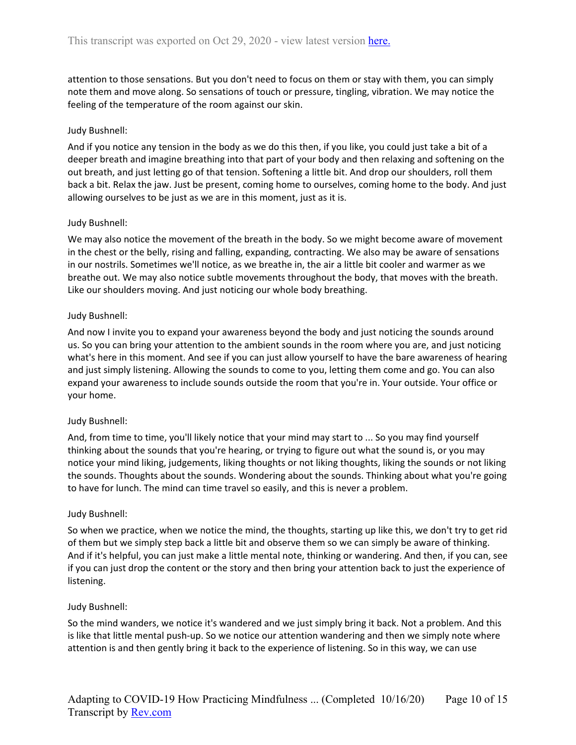attention to those sensations. But you don't need to focus on them or stay with them, you can simply note them and move along. So sensations of touch or pressure, tingling, vibration. We may notice the feeling of the temperature of the room against our skin.

### Judy Bushnell:

And if you notice any tension in the body as we do this then, if you like, you could just take a bit of a deeper breath and imagine breathing into that part of your body and then relaxing and softening on the out breath, and just letting go of that tension. Softening a little bit. And drop our shoulders, roll them back a bit. Relax the jaw. Just be present, coming home to ourselves, coming home to the body. And just allowing ourselves to be just as we are in this moment, just as it is.

#### Judy Bushnell:

We may also notice the movement of the breath in the body. So we might become aware of movement in the chest or the belly, rising and falling, expanding, contracting. We also may be aware of sensations in our nostrils. Sometimes we'll notice, as we breathe in, the air a little bit cooler and warmer as we breathe out. We may also notice subtle movements throughout the body, that moves with the breath. Like our shoulders moving. And just noticing our whole body breathing.

#### Judy Bushnell:

And now I invite you to expand your awareness beyond the body and just noticing the sounds around us. So you can bring your attention to the ambient sounds in the room where you are, and just noticing what's here in this moment. And see if you can just allow yourself to have the bare awareness of hearing and just simply listening. Allowing the sounds to come to you, letting them come and go. You can also expand your awareness to include sounds outside the room that you're in. Your outside. Your office or your home.

### Judy Bushnell:

And, from time to time, you'll likely notice that your mind may start to ... So you may find yourself thinking about the sounds that you're hearing, or trying to figure out what the sound is, or you may notice your mind liking, judgements, liking thoughts or not liking thoughts, liking the sounds or not liking the sounds. Thoughts about the sounds. Wondering about the sounds. Thinking about what you're going to have for lunch. The mind can time travel so easily, and this is never a problem.

### Judy Bushnell:

So when we practice, when we notice the mind, the thoughts, starting up like this, we don't try to get rid of them but we simply step back a little bit and observe them so we can simply be aware of thinking. And if it's helpful, you can just make a little mental note, thinking or wandering. And then, if you can, see if you can just drop the content or the story and then bring your attention back to just the experience of listening.

#### Judy Bushnell:

So the mind wanders, we notice it's wandered and we just simply bring it back. Not a problem. And this is like that little mental push-up. So we notice our attention wandering and then we simply note where attention is and then gently bring it back to the experience of listening. So in this way, we can use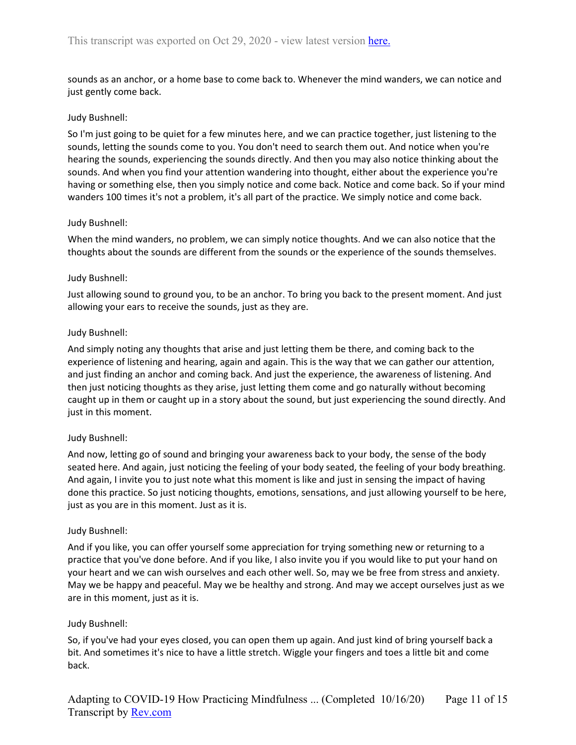sounds as an anchor, or a home base to come back to. Whenever the mind wanders, we can notice and just gently come back.

### Judy Bushnell:

So I'm just going to be quiet for a few minutes here, and we can practice together, just listening to the sounds, letting the sounds come to you. You don't need to search them out. And notice when you're hearing the sounds, experiencing the sounds directly. And then you may also notice thinking about the sounds. And when you find your attention wandering into thought, either about the experience you're having or something else, then you simply notice and come back. Notice and come back. So if your mind wanders 100 times it's not a problem, it's all part of the practice. We simply notice and come back.

## Judy Bushnell:

When the mind wanders, no problem, we can simply notice thoughts. And we can also notice that the thoughts about the sounds are different from the sounds or the experience of the sounds themselves.

### Judy Bushnell:

Just allowing sound to ground you, to be an anchor. To bring you back to the present moment. And just allowing your ears to receive the sounds, just as they are.

## Judy Bushnell:

And simply noting any thoughts that arise and just letting them be there, and coming back to the experience of listening and hearing, again and again. This is the way that we can gather our attention, and just finding an anchor and coming back. And just the experience, the awareness of listening. And then just noticing thoughts as they arise, just letting them come and go naturally without becoming caught up in them or caught up in a story about the sound, but just experiencing the sound directly. And just in this moment.

### Judy Bushnell:

And now, letting go of sound and bringing your awareness back to your body, the sense of the body seated here. And again, just noticing the feeling of your body seated, the feeling of your body breathing. And again, I invite you to just note what this moment is like and just in sensing the impact of having done this practice. So just noticing thoughts, emotions, sensations, and just allowing yourself to be here, just as you are in this moment. Just as it is.

### Judy Bushnell:

And if you like, you can offer yourself some appreciation for trying something new or returning to a practice that you've done before. And if you like, I also invite you if you would like to put your hand on your heart and we can wish ourselves and each other well. So, may we be free from stress and anxiety. May we be happy and peaceful. May we be healthy and strong. And may we accept ourselves just as we are in this moment, just as it is.

### Judy Bushnell:

So, if you've had your eyes closed, you can open them up again. And just kind of bring yourself back a bit. And sometimes it's nice to have a little stretch. Wiggle your fingers and toes a little bit and come back.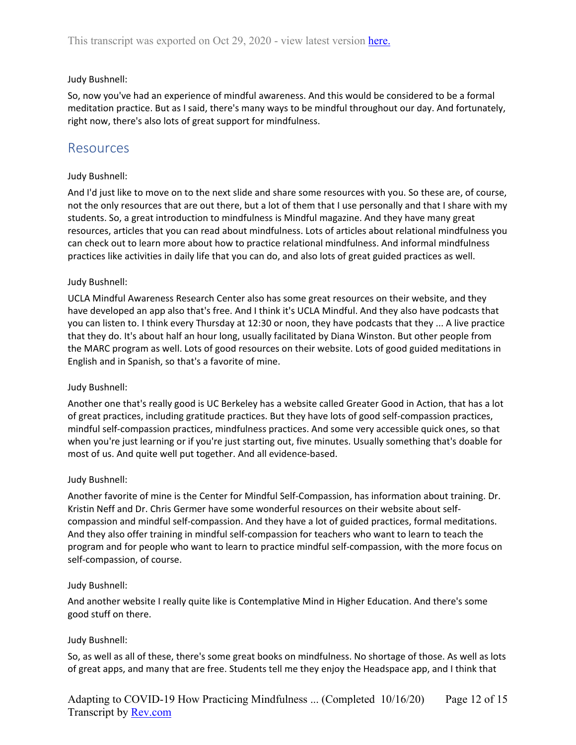So, now you've had an experience of mindful awareness. And this would be considered to be a formal meditation practice. But as I said, there's many ways to be mindful throughout our day. And fortunately, right now, there's also lots of great support for mindfulness.

## <span id="page-11-0"></span>Resources

## Judy Bushnell:

And I'd just like to move on to the next slide and share some resources with you. So these are, of course, not the only resources that are out there, but a lot of them that I use personally and that I share with my students. So, a great introduction to mindfulness is Mindful magazine. And they have many great resources, articles that you can read about mindfulness. Lots of articles about relational mindfulness you can check out to learn more about how to practice relational mindfulness. And informal mindfulness practices like activities in daily life that you can do, and also lots of great guided practices as well.

### Judy Bushnell:

UCLA Mindful Awareness Research Center also has some great resources on their website, and they have developed an app also that's free. And I think it's UCLA Mindful. And they also have podcasts that you can listen to. I think every Thursday at 12:30 or noon, they have podcasts that they ... A live practice that they do. It's about half an hour long, usually facilitated by Diana Winston. But other people from the MARC program as well. Lots of good resources on their website. Lots of good guided meditations in English and in Spanish, so that's a favorite of mine.

### Judy Bushnell:

Another one that's really good is UC Berkeley has a website called Greater Good in Action, that has a lot of great practices, including gratitude practices. But they have lots of good self-compassion practices, mindful self-compassion practices, mindfulness practices. And some very accessible quick ones, so that when you're just learning or if you're just starting out, five minutes. Usually something that's doable for most of us. And quite well put together. And all evidence-based.

### Judy Bushnell:

Another favorite of mine is the Center for Mindful Self-Compassion, has information about training. Dr. Kristin Neff and Dr. Chris Germer have some wonderful resources on their website about selfcompassion and mindful self-compassion. And they have a lot of guided practices, formal meditations. And they also offer training in mindful self-compassion for teachers who want to learn to teach the program and for people who want to learn to practice mindful self-compassion, with the more focus on self-compassion, of course.

### Judy Bushnell:

And another website I really quite like is Contemplative Mind in Higher Education. And there's some good stuff on there.

### Judy Bushnell:

So, as well as all of these, there's some great books on mindfulness. No shortage of those. As well as lots of great apps, and many that are free. Students tell me they enjoy the Headspace app, and I think that

Adapting to COVID-19 How Practicing Mindfulness ... (Completed 10/16/20) Transcript by **Rev.com** Page 12 of 15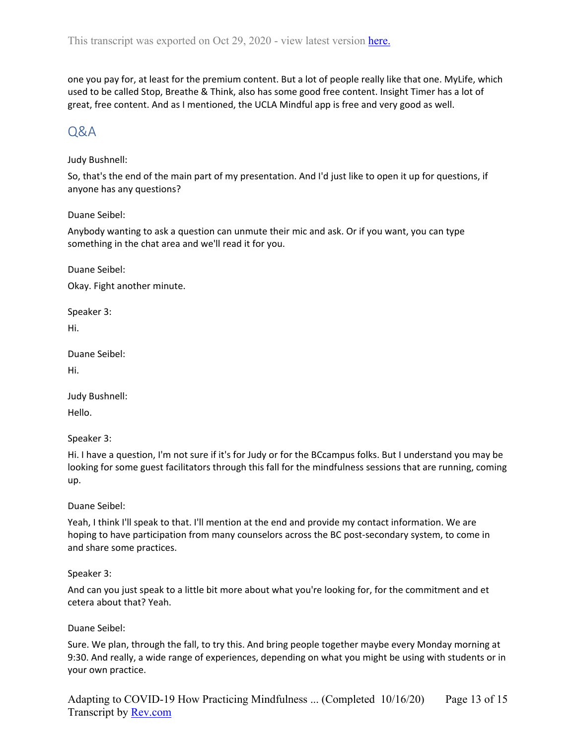one you pay for, at least for the premium content. But a lot of people really like that one. MyLife, which used to be called Stop, Breathe & Think, also has some good free content. Insight Timer has a lot of great, free content. And as I mentioned, the UCLA Mindful app is free and very good as well.

## <span id="page-12-0"></span>Q&A

## Judy Bushnell:

So, that's the end of the main part of my presentation. And I'd just like to open it up for questions, if anyone has any questions?

## Duane Seibel:

Anybody wanting to ask a question can unmute their mic and ask. Or if you want, you can type something in the chat area and we'll read it for you.

Duane Seibel:

Okay. Fight another minute.

Speaker 3:

Hi.

Duane Seibel:

Hi.

Judy Bushnell:

Hello.

Speaker 3:

Hi. I have a question, I'm not sure if it's for Judy or for the BCcampus folks. But I understand you may be looking for some guest facilitators through this fall for the mindfulness sessions that are running, coming up.

Duane Seibel:

Yeah, I think I'll speak to that. I'll mention at the end and provide my contact information. We are hoping to have participation from many counselors across the BC post-secondary system, to come in and share some practices.

### Speaker 3:

And can you just speak to a little bit more about what you're looking for, for the commitment and et cetera about that? Yeah.

## Duane Seibel:

Sure. We plan, through the fall, to try this. And bring people together maybe every Monday morning at 9:30. And really, a wide range of experiences, depending on what you might be using with students or in your own practice.

Adapting to COVID-19 How Practicing Mindfulness ... (Completed 10/16/20) Transcript by **Rev.com** Page 13 of 15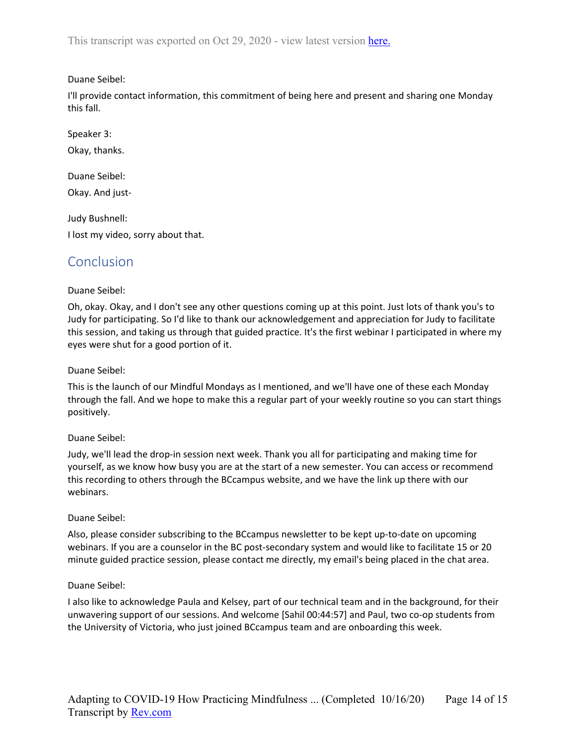This transcript was exported on Oct 29, 2020 - view latest version [here.](https://www.rev.com/transcript-editor/Edit?token=WlYR9MkrZhXffP4v8OhUmPDFRGxdkv_RjfYjuH8VIKInWFXM97v7s0pwDNuwTl6iub-QercJGZ-i5ZGyNVaTLlPkw6g&loadFrom=DocumentHeaderDeepLink)

## Duane Seibel:

I'll provide contact information, this commitment of being here and present and sharing one Monday this fall.

Speaker 3:

Okay, thanks.

Duane Seibel: Okay. And just-

Judy Bushnell: I lost my video, sorry about that.

## <span id="page-13-0"></span>Conclusion

## Duane Seibel:

Oh, okay. Okay, and I don't see any other questions coming up at this point. Just lots of thank you's to Judy for participating. So I'd like to thank our acknowledgement and appreciation for Judy to facilitate this session, and taking us through that guided practice. It's the first webinar I participated in where my eyes were shut for a good portion of it.

Duane Seibel:

This is the launch of our Mindful Mondays as I mentioned, and we'll have one of these each Monday through the fall. And we hope to make this a regular part of your weekly routine so you can start things positively.

## Duane Seibel:

Judy, we'll lead the drop-in session next week. Thank you all for participating and making time for yourself, as we know how busy you are at the start of a new semester. You can access or recommend this recording to others through the BCcampus website, and we have the link up there with our webinars.

### Duane Seibel:

Also, please consider subscribing to the BCcampus newsletter to be kept up-to-date on upcoming webinars. If you are a counselor in the BC post-secondary system and would like to facilitate 15 or 20 minute guided practice session, please contact me directly, my email's being placed in the chat area.

### Duane Seibel:

I also like to acknowledge Paula and Kelsey, part of our technical team and in the background, for their unwavering support of our sessions. And welcome [Sahil 00:44:57] and Paul, two co-op students from the University of Victoria, who just joined BCcampus team and are onboarding this week.